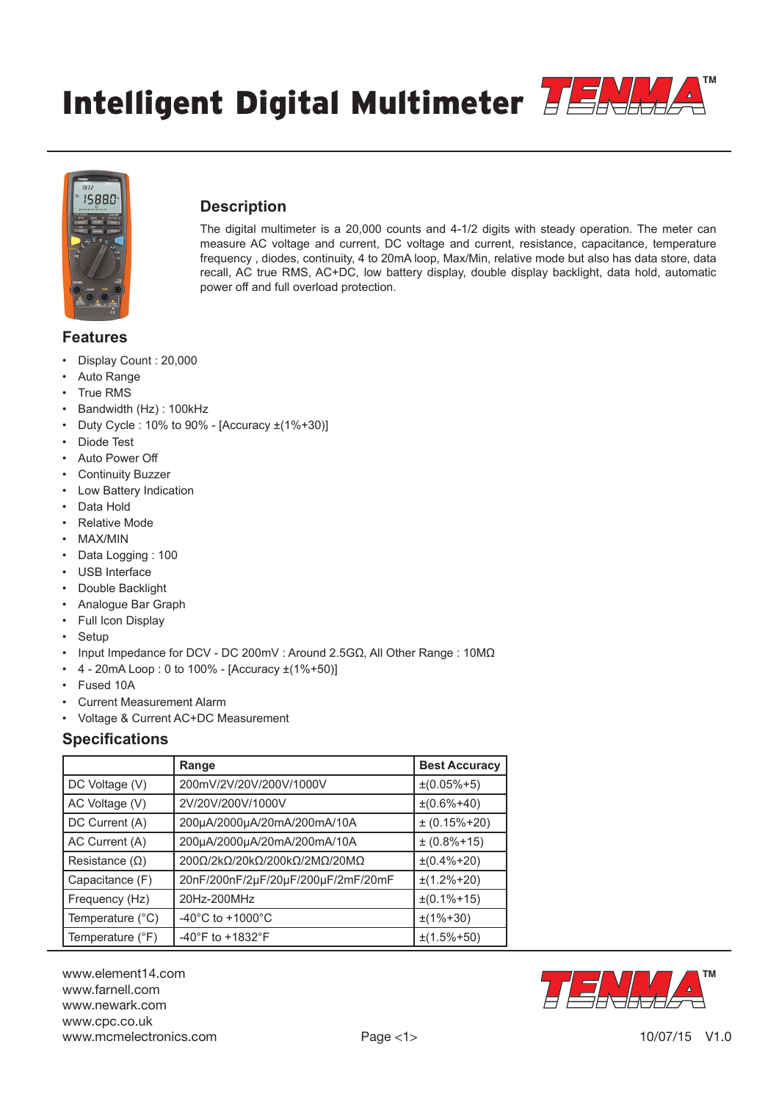Intelligent Digital Multimeter **TENM** 





## **Description**

The digital multimeter is a 20,000 counts and 4-1/2 digits with steady operation. The meter can measure AC voltage and current, DC voltage and current, resistance, capacitance, temperature frequency , diodes, continuity, 4 to 20mA loop, Max/Min, relative mode but also has data store, data recall, AC true RMS, AC+DC, low battery display, double display backlight, data hold, automatic power off and full overload protection.

# **Features**

- Display Count : 20,000
- Auto Range
- **True RMS**
- Bandwidth (Hz) : 100kHz
- Duty Cycle : 10% to 90% [Accuracy ±(1%+30)]
- Diode Test
- Auto Power Off
- Continuity Buzzer
- **Low Battery Indication**
- Data Hold
- Relative Mode
- MAX/MIN
- Data Logging : 100
- USB Interface
- Double Backlight
- Analogue Bar Graph
- Full Icon Display
- **Setup**
- Input Impedance for DCV DC 200mV : Around 2.5GΩ, All Other Range : 10MΩ
- $4 20$ mA Loop: 0 to 100% [Accuracy  $\pm (1\% + 50)$ ]
- Fused 10A
- Current Measurement Alarm
- Voltage & Current AC+DC Measurement

## **Specifications**

|                       | Range                                  | <b>Best Accuracy</b> |
|-----------------------|----------------------------------------|----------------------|
| DC Voltage (V)        | 200mV/2V/20V/200V/1000V                | $\pm(0.05\% + 5)$    |
| AC Voltage (V)        | 2V/20V/200V/1000V                      | $\pm(0.6\% + 40)$    |
| DC Current (A)        | 200µA/2000µA/20mA/200mA/10A            | $± (0.15\% + 20)$    |
| AC Current (A)        | 200µA/2000µA/20mA/200mA/10A            | $± (0.8% + 15)$      |
| Resistance $(\Omega)$ | 200Ω/2kΩ/20kΩ/200kΩ/2MΩ/20MΩ           | $\pm(0.4\% + 20)$    |
| Capacitance (F)       | 20nF/200nF/2µF/20µF/200µF/2mF/20mF     | $\pm(1.2\% + 20)$    |
| Frequency (Hz)        | 20Hz-200MHz                            | $\pm(0.1\% + 15)$    |
| Temperature (°C)      | -40 $^{\circ}$ C to +1000 $^{\circ}$ C | $\pm(1\% + 30)$      |
| Temperature (°F)      | $-40^{\circ}$ F to $+1832^{\circ}$ F   | $\pm(1.5\% + 50)$    |

www.element14.com www.farnell.com www.newark.com www.cpc.co.uk www.mcmelectronics.com